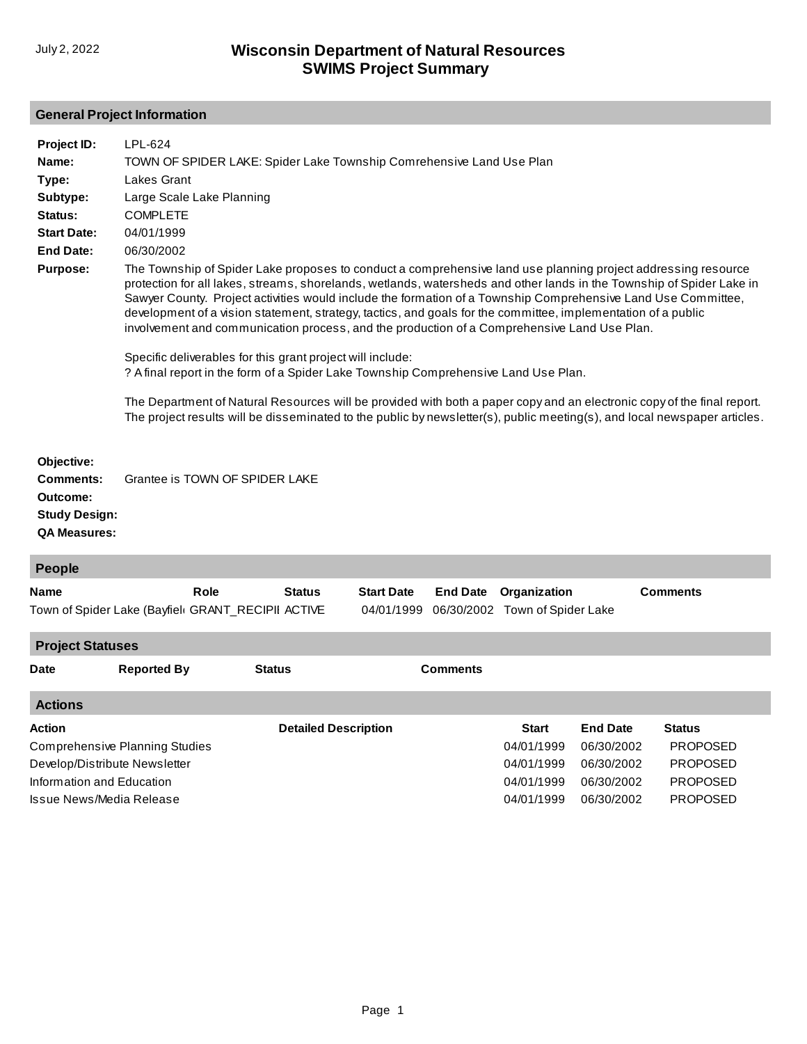# **General Project Information**

| Project ID:<br>Name:<br>Type:<br>Subtype:<br>Status:<br><b>Start Date:</b><br><b>End Date:</b><br><b>Purpose:</b> | LPL-624<br>TOWN OF SPIDER LAKE: Spider Lake Township Comrehensive Land Use Plan<br><b>Lakes Grant</b><br>Large Scale Lake Planning<br><b>COMPLETE</b><br>04/01/1999<br>06/30/2002<br>The Township of Spider Lake proposes to conduct a comprehensive land use planning project addressing resource<br>protection for all lakes, streams, shorelands, wetlands, watersheds and other lands in the Township of Spider Lake in<br>Sawyer County. Project activities would include the formation of a Township Comprehensive Land Use Committee,<br>development of a vision statement, strategy, tactics, and goals for the committee, implementation of a public<br>involvement and communication process, and the production of a Comprehensive Land Use Plan.<br>Specific deliverables for this grant project will include:<br>? A final report in the form of a Spider Lake Township Comprehensive Land Use Plan.<br>The Department of Natural Resources will be provided with both a paper copy and an electronic copy of the final report.<br>The project results will be disseminated to the public by newsletter(s), public meeting(s), and local newspaper articles. |               |                                 |                 |                                                |                 |  |
|-------------------------------------------------------------------------------------------------------------------|---------------------------------------------------------------------------------------------------------------------------------------------------------------------------------------------------------------------------------------------------------------------------------------------------------------------------------------------------------------------------------------------------------------------------------------------------------------------------------------------------------------------------------------------------------------------------------------------------------------------------------------------------------------------------------------------------------------------------------------------------------------------------------------------------------------------------------------------------------------------------------------------------------------------------------------------------------------------------------------------------------------------------------------------------------------------------------------------------------------------------------------------------------------------------|---------------|---------------------------------|-----------------|------------------------------------------------|-----------------|--|
| Objective:<br><b>Comments:</b><br>Outcome:<br><b>Study Design:</b><br><b>QA Measures:</b>                         | Grantee is TOWN OF SPIDER LAKE                                                                                                                                                                                                                                                                                                                                                                                                                                                                                                                                                                                                                                                                                                                                                                                                                                                                                                                                                                                                                                                                                                                                            |               |                                 |                 |                                                |                 |  |
| People                                                                                                            |                                                                                                                                                                                                                                                                                                                                                                                                                                                                                                                                                                                                                                                                                                                                                                                                                                                                                                                                                                                                                                                                                                                                                                           |               |                                 |                 |                                                |                 |  |
| <b>Name</b>                                                                                                       | Role<br>Town of Spider Lake (Bayfiel( GRANT_RECIPII ACTIVE                                                                                                                                                                                                                                                                                                                                                                                                                                                                                                                                                                                                                                                                                                                                                                                                                                                                                                                                                                                                                                                                                                                | <b>Status</b> | <b>Start Date</b><br>04/01/1999 | <b>End Date</b> | Organization<br>06/30/2002 Town of Spider Lake | <b>Comments</b> |  |
| <b>Project Statuses</b>                                                                                           |                                                                                                                                                                                                                                                                                                                                                                                                                                                                                                                                                                                                                                                                                                                                                                                                                                                                                                                                                                                                                                                                                                                                                                           |               |                                 |                 |                                                |                 |  |
| <b>Date</b>                                                                                                       | <b>Reported By</b>                                                                                                                                                                                                                                                                                                                                                                                                                                                                                                                                                                                                                                                                                                                                                                                                                                                                                                                                                                                                                                                                                                                                                        | <b>Status</b> |                                 | <b>Comments</b> |                                                |                 |  |

| <b>Actions</b>                        |                             |              |                 |                 |
|---------------------------------------|-----------------------------|--------------|-----------------|-----------------|
| Action                                | <b>Detailed Description</b> | <b>Start</b> | <b>End Date</b> | <b>Status</b>   |
| <b>Comprehensive Planning Studies</b> |                             | 04/01/1999   | 06/30/2002      | <b>PROPOSED</b> |
| Develop/Distribute Newsletter         |                             | 04/01/1999   | 06/30/2002      | <b>PROPOSED</b> |
| Information and Education             |                             | 04/01/1999   | 06/30/2002      | <b>PROPOSED</b> |
| Issue News/Media Release              |                             | 04/01/1999   | 06/30/2002      | <b>PROPOSED</b> |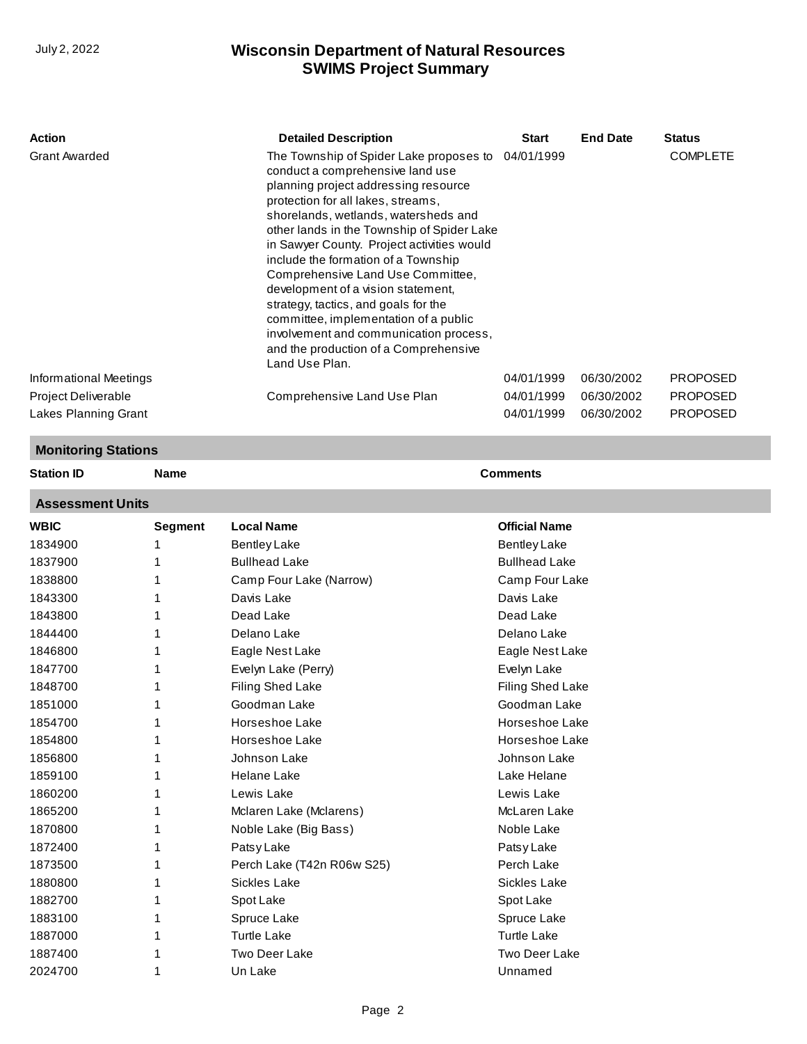| Action                     |         | <b>Detailed Description</b>                                                                                                                                                                                                                                                                                                                                                                                                                                                                                                                                                                                      | Start                | <b>End Date</b> | <b>Status</b>   |  |
|----------------------------|---------|------------------------------------------------------------------------------------------------------------------------------------------------------------------------------------------------------------------------------------------------------------------------------------------------------------------------------------------------------------------------------------------------------------------------------------------------------------------------------------------------------------------------------------------------------------------------------------------------------------------|----------------------|-----------------|-----------------|--|
| <b>Grant Awarded</b>       |         | The Township of Spider Lake proposes to 04/01/1999<br>conduct a comprehensive land use<br>planning project addressing resource<br>protection for all lakes, streams,<br>shorelands, wetlands, watersheds and<br>other lands in the Township of Spider Lake<br>in Sawyer County. Project activities would<br>include the formation of a Township<br>Comprehensive Land Use Committee,<br>development of a vision statement,<br>strategy, tactics, and goals for the<br>committee, implementation of a public<br>involvement and communication process,<br>and the production of a Comprehensive<br>Land Use Plan. |                      |                 | <b>COMPLETE</b> |  |
| Informational Meetings     |         |                                                                                                                                                                                                                                                                                                                                                                                                                                                                                                                                                                                                                  | 04/01/1999           | 06/30/2002      | <b>PROPOSED</b> |  |
| Project Deliverable        |         | Comprehensive Land Use Plan                                                                                                                                                                                                                                                                                                                                                                                                                                                                                                                                                                                      | 04/01/1999           | 06/30/2002      | <b>PROPOSED</b> |  |
| Lakes Planning Grant       |         |                                                                                                                                                                                                                                                                                                                                                                                                                                                                                                                                                                                                                  | 04/01/1999           | 06/30/2002      | <b>PROPOSED</b> |  |
| <b>Monitoring Stations</b> |         |                                                                                                                                                                                                                                                                                                                                                                                                                                                                                                                                                                                                                  |                      |                 |                 |  |
| <b>Station ID</b>          | Name    |                                                                                                                                                                                                                                                                                                                                                                                                                                                                                                                                                                                                                  | <b>Comments</b>      |                 |                 |  |
| <b>Assessment Units</b>    |         |                                                                                                                                                                                                                                                                                                                                                                                                                                                                                                                                                                                                                  |                      |                 |                 |  |
| <b>WBIC</b>                | Segment | <b>Local Name</b>                                                                                                                                                                                                                                                                                                                                                                                                                                                                                                                                                                                                | <b>Official Name</b> |                 |                 |  |
| 1834900                    | 1       | <b>Bentley Lake</b>                                                                                                                                                                                                                                                                                                                                                                                                                                                                                                                                                                                              | <b>Bentley Lake</b>  |                 |                 |  |
| 1837900                    | 1       | <b>Bullhead Lake</b>                                                                                                                                                                                                                                                                                                                                                                                                                                                                                                                                                                                             | <b>Bullhead Lake</b> |                 |                 |  |
| 1838800                    | 1       | Camp Four Lake (Narrow)                                                                                                                                                                                                                                                                                                                                                                                                                                                                                                                                                                                          | Camp Four Lake       |                 |                 |  |
| 1843300                    | 1       | Davis Lake                                                                                                                                                                                                                                                                                                                                                                                                                                                                                                                                                                                                       | Davis Lake           |                 |                 |  |
| 1843800                    | 1       | Dead Lake                                                                                                                                                                                                                                                                                                                                                                                                                                                                                                                                                                                                        | Dead Lake            |                 |                 |  |
| 1844400                    | 1       | Delano Lake                                                                                                                                                                                                                                                                                                                                                                                                                                                                                                                                                                                                      | Delano Lake          |                 |                 |  |
| 1846800                    | 1       | Eagle Nest Lake                                                                                                                                                                                                                                                                                                                                                                                                                                                                                                                                                                                                  | Eagle Nest Lake      |                 |                 |  |
| 1847700                    | 1       | Evelyn Lake (Perry)                                                                                                                                                                                                                                                                                                                                                                                                                                                                                                                                                                                              | Evelyn Lake          |                 |                 |  |
| 1848700                    | 1       | Filing Shed Lake                                                                                                                                                                                                                                                                                                                                                                                                                                                                                                                                                                                                 | Filing Shed Lake     |                 |                 |  |
| 1851000                    | 1       | Goodman Lake                                                                                                                                                                                                                                                                                                                                                                                                                                                                                                                                                                                                     | Goodman Lake         |                 |                 |  |
| 1854700                    | 1       | Horseshoe Lake                                                                                                                                                                                                                                                                                                                                                                                                                                                                                                                                                                                                   | Horseshoe Lake       |                 |                 |  |
| 1854800                    | 1       | Horseshoe Lake                                                                                                                                                                                                                                                                                                                                                                                                                                                                                                                                                                                                   | Horseshoe Lake       |                 |                 |  |
| 1856800                    |         | Johnson Lake                                                                                                                                                                                                                                                                                                                                                                                                                                                                                                                                                                                                     | Johnson Lake         |                 |                 |  |
| 1859100                    | 1       | Helane Lake                                                                                                                                                                                                                                                                                                                                                                                                                                                                                                                                                                                                      | Lake Helane          |                 |                 |  |
| 1860200                    | 1       | Lewis Lake                                                                                                                                                                                                                                                                                                                                                                                                                                                                                                                                                                                                       | Lewis Lake           |                 |                 |  |
| 1865200                    | 1       | Mclaren Lake (Mclarens)                                                                                                                                                                                                                                                                                                                                                                                                                                                                                                                                                                                          | McLaren Lake         |                 |                 |  |
| 1870800                    | 1       | Noble Lake (Big Bass)                                                                                                                                                                                                                                                                                                                                                                                                                                                                                                                                                                                            | Noble Lake           |                 |                 |  |
| 1872400                    | 1       | Patsy Lake                                                                                                                                                                                                                                                                                                                                                                                                                                                                                                                                                                                                       | Patsy Lake           |                 |                 |  |
| 1873500                    | 1       | Perch Lake (T42n R06w S25)                                                                                                                                                                                                                                                                                                                                                                                                                                                                                                                                                                                       | Perch Lake           |                 |                 |  |
| 1880800                    | 1       | Sickles Lake                                                                                                                                                                                                                                                                                                                                                                                                                                                                                                                                                                                                     | Sickles Lake         |                 |                 |  |
| 1882700                    | 1       | Spot Lake                                                                                                                                                                                                                                                                                                                                                                                                                                                                                                                                                                                                        | Spot Lake            |                 |                 |  |
| 1883100                    | 1       | Spruce Lake                                                                                                                                                                                                                                                                                                                                                                                                                                                                                                                                                                                                      | Spruce Lake          |                 |                 |  |
| 1887000                    | 1       | <b>Turtle Lake</b>                                                                                                                                                                                                                                                                                                                                                                                                                                                                                                                                                                                               | <b>Turtle Lake</b>   |                 |                 |  |
| 1887400                    |         | Two Deer Lake                                                                                                                                                                                                                                                                                                                                                                                                                                                                                                                                                                                                    | Two Deer Lake        |                 |                 |  |
| 2024700                    | 1       | Un Lake                                                                                                                                                                                                                                                                                                                                                                                                                                                                                                                                                                                                          | Unnamed              |                 |                 |  |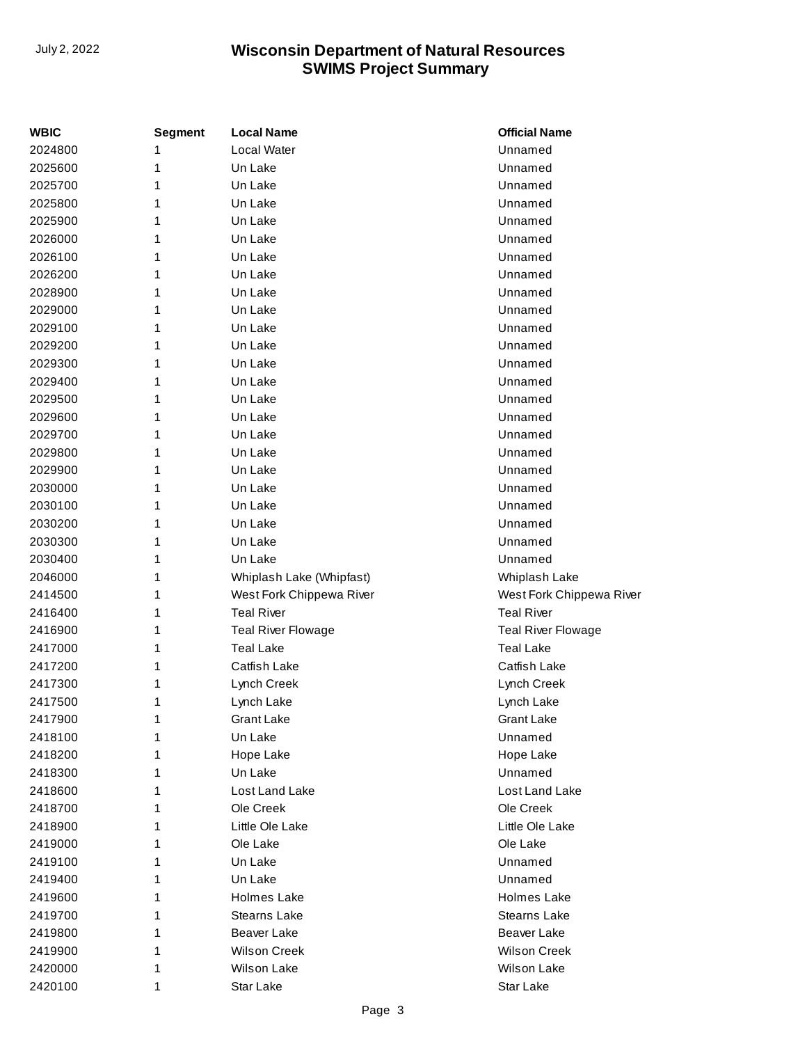| <b>WBIC</b> | <b>Segment</b> | <b>Local Name</b>         | <b>Official Name</b>     |
|-------------|----------------|---------------------------|--------------------------|
| 2024800     | 1              | Local Water               | Unnamed                  |
| 2025600     | 1              | Un Lake                   | Unnamed                  |
| 2025700     | 1              | Un Lake                   | Unnamed                  |
| 2025800     | 1              | Un Lake                   | Unnamed                  |
| 2025900     | 1              | Un Lake                   | Unnamed                  |
| 2026000     | 1              | Un Lake                   | Unnamed                  |
| 2026100     | 1              | Un Lake                   | Unnamed                  |
| 2026200     | 1              | Un Lake                   | Unnamed                  |
| 2028900     | 1              | Un Lake                   | Unnamed                  |
| 2029000     | 1              | Un Lake                   | Unnamed                  |
| 2029100     | 1              | Un Lake                   | Unnamed                  |
| 2029200     | 1              | Un Lake                   | Unnamed                  |
| 2029300     | 1              | Un Lake                   | Unnamed                  |
| 2029400     | 1              | Un Lake                   | Unnamed                  |
| 2029500     | 1              | Un Lake                   | Unnamed                  |
| 2029600     | 1              | Un Lake                   | Unnamed                  |
| 2029700     | 1              | Un Lake                   | Unnamed                  |
| 2029800     | 1              | Un Lake                   | Unnamed                  |
| 2029900     | 1              | Un Lake                   | Unnamed                  |
| 2030000     | 1              | Un Lake                   | Unnamed                  |
| 2030100     | 1              | Un Lake                   | Unnamed                  |
| 2030200     | 1              | Un Lake                   | Unnamed                  |
| 2030300     | 1              | Un Lake                   | Unnamed                  |
| 2030400     | 1              | Un Lake                   | Unnamed                  |
| 2046000     | 1              | Whiplash Lake (Whipfast)  | Whiplash Lake            |
| 2414500     | 1              | West Fork Chippewa River  | West Fork Chippewa River |
| 2416400     | 1              | <b>Teal River</b>         | <b>Teal River</b>        |
| 2416900     | 1              | <b>Teal River Flowage</b> | Teal River Flowage       |
| 2417000     | 1              | <b>Teal Lake</b>          | <b>Teal Lake</b>         |
| 2417200     | 1              | Catfish Lake              | Catfish Lake             |
| 2417300     | 1              | Lynch Creek               | Lynch Creek              |
| 2417500     | 1              | Lynch Lake                | Lynch Lake               |
| 2417900     | 1              | Grant Lake                | Grant Lake               |
| 2418100     | 1              | Un Lake                   | Unnamed                  |
| 2418200     | 1              | Hope Lake                 | Hope Lake                |
| 2418300     | 1              | Un Lake                   | Unnamed                  |
| 2418600     | 1              | Lost Land Lake            | Lost Land Lake           |
| 2418700     | 1              | Ole Creek                 | Ole Creek                |
| 2418900     | 1              | Little Ole Lake           | Little Ole Lake          |
| 2419000     | 1              | Ole Lake                  | Ole Lake                 |
| 2419100     | 1              | Un Lake                   | Unnamed                  |
| 2419400     | 1              | Un Lake                   | Unnamed                  |
| 2419600     | 1              | Holmes Lake               | Holmes Lake              |
| 2419700     | 1              | <b>Stearns Lake</b>       | Stearns Lake             |
| 2419800     | 1              | Beaver Lake               | Beaver Lake              |
| 2419900     | 1              | <b>Wilson Creek</b>       | <b>Wilson Creek</b>      |
| 2420000     | 1              | Wilson Lake               | Wilson Lake              |
| 2420100     | 1              | Star Lake                 | Star Lake                |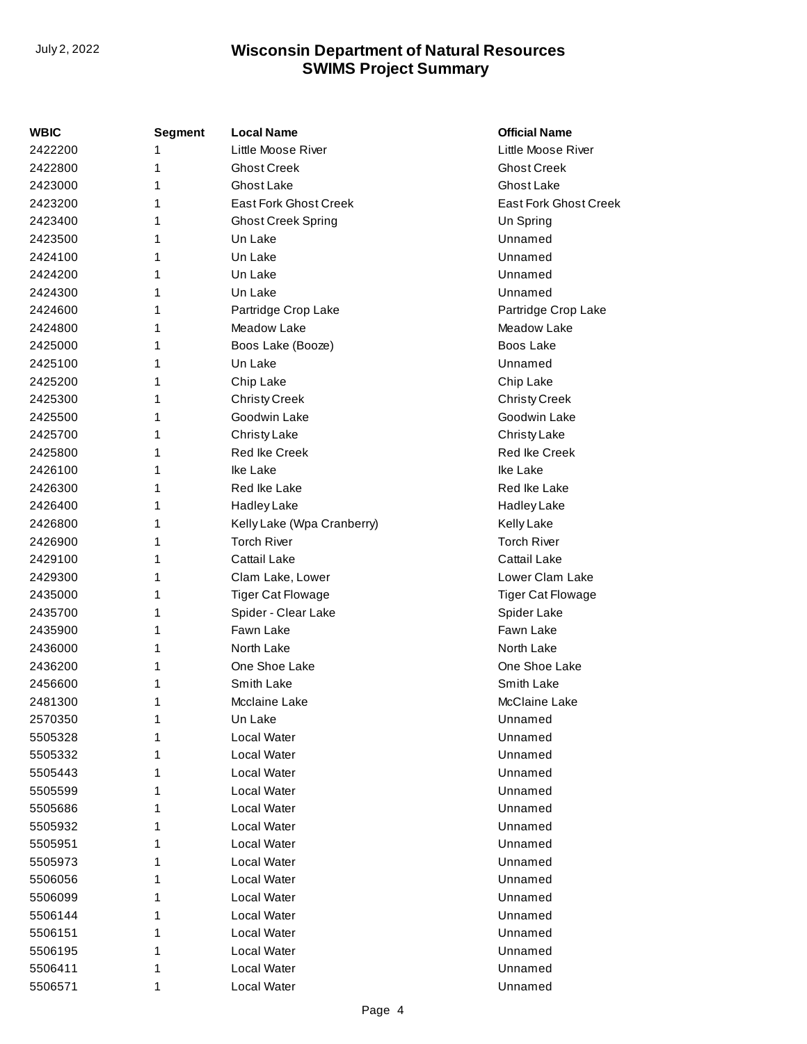| WBIC    | <b>Segment</b> | <b>Local Name</b>          | <b>Official Name</b>         |
|---------|----------------|----------------------------|------------------------------|
| 2422200 | 1              | Little Moose River         | Little Moose River           |
| 2422800 | 1              | <b>Ghost Creek</b>         | <b>Ghost Creek</b>           |
| 2423000 | 1              | Ghost Lake                 | Ghost Lake                   |
| 2423200 | 1              | East Fork Ghost Creek      | <b>East Fork Ghost Creek</b> |
| 2423400 | 1              | <b>Ghost Creek Spring</b>  | Un Spring                    |
| 2423500 | 1              | Un Lake                    | Unnamed                      |
| 2424100 | 1              | Un Lake                    | Unnamed                      |
| 2424200 | 1              | Un Lake                    | Unnamed                      |
| 2424300 | 1              | Un Lake                    | Unnamed                      |
| 2424600 | 1              | Partridge Crop Lake        | Partridge Crop Lake          |
| 2424800 | 1              | Meadow Lake                | Meadow Lake                  |
| 2425000 | 1              | Boos Lake (Booze)          | Boos Lake                    |
| 2425100 | 1              | Un Lake                    | Unnamed                      |
| 2425200 | 1              | Chip Lake                  | Chip Lake                    |
| 2425300 | 1              | <b>Christy Creek</b>       | <b>Christy Creek</b>         |
| 2425500 | 1              | Goodwin Lake               | Goodwin Lake                 |
| 2425700 | 1              | Christy Lake               | Christy Lake                 |
| 2425800 | 1              | <b>Red Ike Creek</b>       | <b>Red Ike Creek</b>         |
| 2426100 | 1              | Ike Lake                   | Ike Lake                     |
| 2426300 | 1              | Red Ike Lake               | Red Ike Lake                 |
| 2426400 | 1              | Hadley Lake                | Hadley Lake                  |
| 2426800 | 1              | Kelly Lake (Wpa Cranberry) | <b>Kelly Lake</b>            |
| 2426900 | 1              | <b>Torch River</b>         | <b>Torch River</b>           |
| 2429100 | 1              | Cattail Lake               | Cattail Lake                 |
| 2429300 | 1              | Clam Lake, Lower           | Lower Clam Lake              |
| 2435000 | 1              | <b>Tiger Cat Flowage</b>   | <b>Tiger Cat Flowage</b>     |
| 2435700 | 1              | Spider - Clear Lake        | Spider Lake                  |
| 2435900 | 1              | Fawn Lake                  | Fawn Lake                    |
| 2436000 | 1              | North Lake                 | North Lake                   |
| 2436200 | 1              | One Shoe Lake              | One Shoe Lake                |
| 2456600 | 1              | Smith Lake                 | Smith Lake                   |
| 2481300 | 1              | Mcclaine Lake              | McClaine Lake                |
| 2570350 | 1              | Un Lake                    | Unnamed                      |
| 5505328 |                | Local Water                | Unnamed                      |
| 5505332 | 1              | Local Water                | Unnamed                      |
| 5505443 | 1              | Local Water                | Unnamed                      |
| 5505599 | 1              | Local Water                | Unnamed                      |
| 5505686 | 1              | Local Water                | Unnamed                      |
| 5505932 | 1              | Local Water                | Unnamed                      |
| 5505951 | 1              | Local Water                | Unnamed                      |
| 5505973 | 1              | Local Water                | Unnamed                      |
| 5506056 | 1              | Local Water                | Unnamed                      |
| 5506099 | 1              | Local Water                | Unnamed                      |
| 5506144 | 1              | Local Water                | Unnamed                      |
| 5506151 | 1              | Local Water                | Unnamed                      |
| 5506195 | 1              | Local Water                | Unnamed                      |
| 5506411 | 1              | Local Water                | Unnamed                      |
| 5506571 | 1              | Local Water                | Unnamed                      |